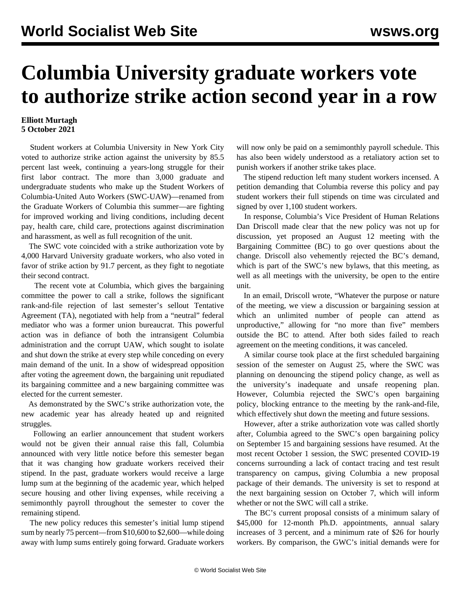## **Columbia University graduate workers vote to authorize strike action second year in a row**

## **Elliott Murtagh 5 October 2021**

 Student workers at Columbia University in New York City voted to authorize strike action against the university by 85.5 percent last week, continuing a years-long struggle for their first labor contract. The more than 3,000 graduate and undergraduate students who make up the Student Workers of Columbia-United Auto Workers (SWC-UAW)—renamed from the Graduate Workers of Columbia this summer—are fighting for improved working and living conditions, including decent pay, health care, child care, protections against discrimination and harassment, as well as full recognition of the unit.

 The SWC vote coincided with a strike authorization vote by 4,000 Harvard University graduate workers, who also voted in favor of strike action by 91.7 percent, as they fight to negotiate their second contract.

 The recent vote at Columbia, which gives the bargaining committee the power to call a strike, follows the significant [rank-and-file rejection](/en/articles/2021/05/01/colu-m01.html) of last semester's [sellout Tentative](/en/articles/2021/04/20/colu-a20.html) [Agreement](/en/articles/2021/04/20/colu-a20.html) (TA), negotiated with help from a "neutral" federal mediator who was a former union bureaucrat. This powerful action was in defiance of both the intransigent [Columbia](/en/articles/2021/04/16/cash-a16.html) [administration](/en/articles/2021/04/16/cash-a16.html) and the [corrupt UAW](/en/articles/2021/04/03/colu-a03.html), which sought to isolate and shut down the strike at every step while conceding on every main demand of the unit. In a show of widespread opposition after voting the agreement down, the bargaining unit repudiated its bargaining committee and a new bargaining committee was elected for the current semester.

 As demonstrated by the SWC's strike authorization vote, the new academic year has already heated up and reignited struggles.

 Following an earlier announcement that student workers would not be given their annual raise this fall, Columbia announced with very little notice before this semester began that it was changing how graduate workers received their stipend. In the past, graduate workers would receive a large lump sum at the beginning of the academic year, which helped secure housing and other living expenses, while receiving a semimonthly payroll throughout the semester to cover the remaining stipend.

 The new policy reduces this semester's initial lump stipend sum by nearly 75 percent—from \$10,600 to \$2,600—while doing away with lump sums entirely going forward. Graduate workers will now only be paid on a semimonthly payroll schedule. This has also been widely understood as a retaliatory action set to punish workers if another strike takes place.

 The stipend reduction left many student workers incensed. A petition demanding that Columbia reverse this policy and pay student workers their full stipends on time was circulated and signed by over 1,100 student workers.

 In response, Columbia's Vice President of Human Relations Dan Driscoll made clear that the new policy was not up for discussion, yet proposed an August 12 meeting with the Bargaining Committee (BC) to go over questions about the change. Driscoll also vehemently rejected the BC's demand, which is part of the SWC's new bylaws, that this meeting, as well as all meetings with the university, be open to the entire unit.

 In an email, Driscoll wrote, "Whatever the purpose or nature of the meeting, we view a discussion or bargaining session at which an unlimited number of people can attend as unproductive," allowing for "no more than five" members outside the BC to attend. After both sides failed to reach agreement on the meeting conditions, it was canceled.

 A similar course took place at the first scheduled bargaining session of the semester on August 25, where the SWC was planning on denouncing the stipend policy change, as well as the university's inadequate and unsafe reopening plan. However, Columbia rejected the SWC's open bargaining policy, blocking entrance to the meeting by the rank-and-file, which effectively shut down the meeting and future sessions.

 However, after a strike authorization vote was called shortly after, Columbia agreed to the SWC's open bargaining policy on September 15 and bargaining sessions have resumed. At the most recent October 1 session, the SWC presented COVID-19 concerns surrounding a lack of contact tracing and test result transparency on campus, giving Columbia a new proposal package of their demands. The university is set to respond at the next bargaining session on October 7, which will inform whether or not the SWC will call a strike.

 The BC's current proposal consists of a minimum salary of \$45,000 for 12-month Ph.D. appointments, annual salary increases of 3 percent, and a minimum rate of \$26 for hourly workers. By comparison, the GWC's initial demands were for